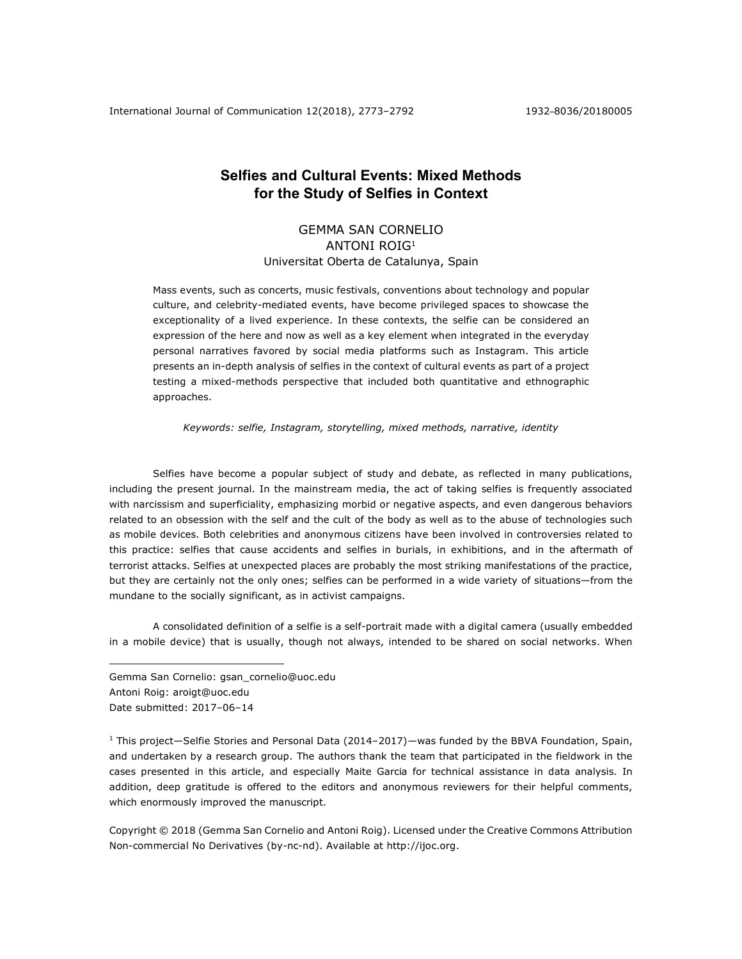International Journal of Communication 12(2018), 2773–2792 1932–8036/20180005

# **Selfies and Cultural Events: Mixed Methods for the Study of Selfies in Context**

# GEMMA SAN CORNELIO ANTONI ROIG1 Universitat Oberta de Catalunya, Spain

Mass events, such as concerts, music festivals, conventions about technology and popular culture, and celebrity-mediated events, have become privileged spaces to showcase the exceptionality of a lived experience. In these contexts, the selfie can be considered an expression of the here and now as well as a key element when integrated in the everyday personal narratives favored by social media platforms such as Instagram. This article presents an in-depth analysis of selfies in the context of cultural events as part of a project testing a mixed-methods perspective that included both quantitative and ethnographic approaches.

*Keywords: selfie, Instagram, storytelling, mixed methods, narrative, identity*

Selfies have become a popular subject of study and debate, as reflected in many publications, including the present journal. In the mainstream media, the act of taking selfies is frequently associated with narcissism and superficiality, emphasizing morbid or negative aspects, and even dangerous behaviors related to an obsession with the self and the cult of the body as well as to the abuse of technologies such as mobile devices. Both celebrities and anonymous citizens have been involved in controversies related to this practice: selfies that cause accidents and selfies in burials, in exhibitions, and in the aftermath of terrorist attacks. Selfies at unexpected places are probably the most striking manifestations of the practice, but they are certainly not the only ones; selfies can be performed in a wide variety of situations—from the mundane to the socially significant, as in activist campaigns.

A consolidated definition of a selfie is a self-portrait made with a digital camera (usually embedded in a mobile device) that is usually, though not always, intended to be shared on social networks. When

Gemma San Cornelio: gsan\_cornelio@uoc.edu Antoni Roig: aroigt@uoc.edu Date submitted: 2017-06-14

1

 $1$  This project—Selfie Stories and Personal Data (2014–2017)—was funded by the BBVA Foundation, Spain, and undertaken by a research group. The authors thank the team that participated in the fieldwork in the cases presented in this article, and especially Maite Garcia for technical assistance in data analysis. In addition, deep gratitude is offered to the editors and anonymous reviewers for their helpful comments, which enormously improved the manuscript.

Copyright © 2018 (Gemma San Cornelio and Antoni Roig). Licensed under the Creative Commons Attribution Non-commercial No Derivatives (by-nc-nd). Available at http://ijoc.org.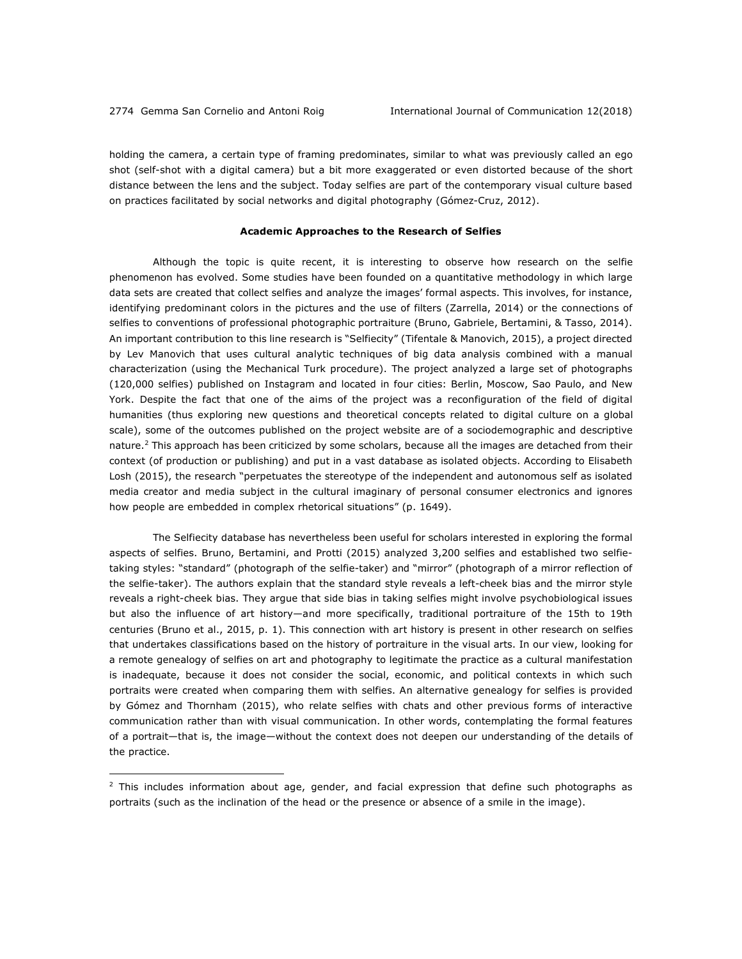1

holding the camera, a certain type of framing predominates, similar to what was previously called an ego shot (self-shot with a digital camera) but a bit more exaggerated or even distorted because of the short distance between the lens and the subject. Today selfies are part of the contemporary visual culture based on practices facilitated by social networks and digital photography (Gómez-Cruz, 2012).

#### **Academic Approaches to the Research of Selfies**

Although the topic is quite recent, it is interesting to observe how research on the selfie phenomenon has evolved. Some studies have been founded on a quantitative methodology in which large data sets are created that collect selfies and analyze the images' formal aspects. This involves, for instance, identifying predominant colors in the pictures and the use of filters (Zarrella, 2014) or the connections of selfies to conventions of professional photographic portraiture (Bruno, Gabriele, Bertamini, & Tasso, 2014). An important contribution to this line research is "Selfiecity" (Tifentale & Manovich, 2015), a project directed by Lev Manovich that uses cultural analytic techniques of big data analysis combined with a manual characterization (using the Mechanical Turk procedure). The project analyzed a large set of photographs (120,000 selfies) published on Instagram and located in four cities: Berlin, Moscow, Sao Paulo, and New York. Despite the fact that one of the aims of the project was a reconfiguration of the field of digital humanities (thus exploring new questions and theoretical concepts related to digital culture on a global scale), some of the outcomes published on the project website are of a sociodemographic and descriptive nature.<sup>2</sup> This approach has been criticized by some scholars, because all the images are detached from their context (of production or publishing) and put in a vast database as isolated objects. According to Elisabeth Losh (2015), the research "perpetuates the stereotype of the independent and autonomous self as isolated media creator and media subject in the cultural imaginary of personal consumer electronics and ignores how people are embedded in complex rhetorical situations" (p. 1649).

The Selfiecity database has nevertheless been useful for scholars interested in exploring the formal aspects of selfies. Bruno, Bertamini, and Protti (2015) analyzed 3,200 selfies and established two selfietaking styles: "standard" (photograph of the selfie-taker) and "mirror" (photograph of a mirror reflection of the selfie-taker). The authors explain that the standard style reveals a left-cheek bias and the mirror style reveals a right-cheek bias. They argue that side bias in taking selfies might involve psychobiological issues but also the influence of art history—and more specifically, traditional portraiture of the 15th to 19th centuries (Bruno et al., 2015, p. 1). This connection with art history is present in other research on selfies that undertakes classifications based on the history of portraiture in the visual arts. In our view, looking for a remote genealogy of selfies on art and photography to legitimate the practice as a cultural manifestation is inadequate, because it does not consider the social, economic, and political contexts in which such portraits were created when comparing them with selfies. An alternative genealogy for selfies is provided by Gómez and Thornham (2015), who relate selfies with chats and other previous forms of interactive communication rather than with visual communication. In other words, contemplating the formal features of a portrait—that is, the image—without the context does not deepen our understanding of the details of the practice.

 $2$  This includes information about age, gender, and facial expression that define such photographs as portraits (such as the inclination of the head or the presence or absence of a smile in the image).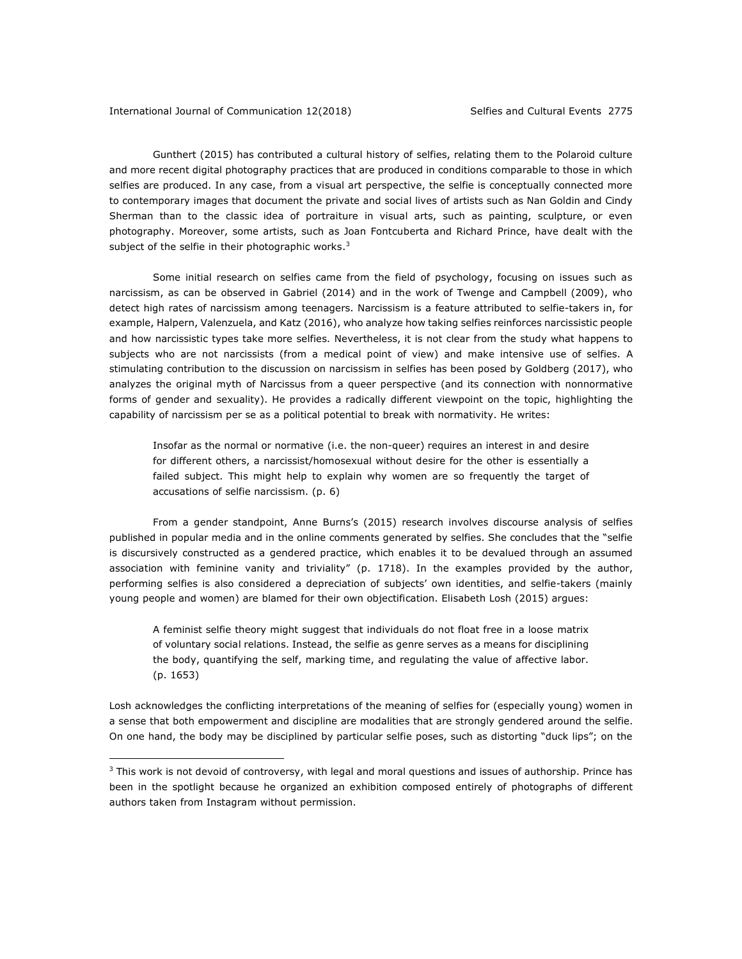<u>.</u>

Gunthert (2015) has contributed a cultural history of selfies, relating them to the Polaroid culture and more recent digital photography practices that are produced in conditions comparable to those in which selfies are produced. In any case, from a visual art perspective, the selfie is conceptually connected more to contemporary images that document the private and social lives of artists such as Nan Goldin and Cindy Sherman than to the classic idea of portraiture in visual arts, such as painting, sculpture, or even photography. Moreover, some artists, such as Joan Fontcuberta and Richard Prince, have dealt with the subject of the selfie in their photographic works.<sup>3</sup>

Some initial research on selfies came from the field of psychology, focusing on issues such as narcissism, as can be observed in Gabriel (2014) and in the work of Twenge and Campbell (2009), who detect high rates of narcissism among teenagers. Narcissism is a feature attributed to selfie-takers in, for example, Halpern, Valenzuela, and Katz (2016), who analyze how taking selfies reinforces narcissistic people and how narcissistic types take more selfies. Nevertheless, it is not clear from the study what happens to subjects who are not narcissists (from a medical point of view) and make intensive use of selfies. A stimulating contribution to the discussion on narcissism in selfies has been posed by Goldberg (2017), who analyzes the original myth of Narcissus from a queer perspective (and its connection with nonnormative forms of gender and sexuality). He provides a radically different viewpoint on the topic, highlighting the capability of narcissism per se as a political potential to break with normativity. He writes:

Insofar as the normal or normative (i.e. the non-queer) requires an interest in and desire for different others, a narcissist/homosexual without desire for the other is essentially a failed subject. This might help to explain why women are so frequently the target of accusations of selfie narcissism. (p. 6)

From a gender standpoint, Anne Burns's (2015) research involves discourse analysis of selfies published in popular media and in the online comments generated by selfies. She concludes that the "selfie is discursively constructed as a gendered practice, which enables it to be devalued through an assumed association with feminine vanity and triviality" (p. 1718). In the examples provided by the author, performing selfies is also considered a depreciation of subjects' own identities, and selfie-takers (mainly young people and women) are blamed for their own objectification. Elisabeth Losh (2015) argues:

A feminist selfie theory might suggest that individuals do not float free in a loose matrix of voluntary social relations. Instead, the selfie as genre serves as a means for disciplining the body, quantifying the self, marking time, and regulating the value of affective labor. (p. 1653)

Losh acknowledges the conflicting interpretations of the meaning of selfies for (especially young) women in a sense that both empowerment and discipline are modalities that are strongly gendered around the selfie. On one hand, the body may be disciplined by particular selfie poses, such as distorting "duck lips"; on the

 $3$  This work is not devoid of controversy, with legal and moral questions and issues of authorship. Prince has been in the spotlight because he organized an exhibition composed entirely of photographs of different authors taken from Instagram without permission.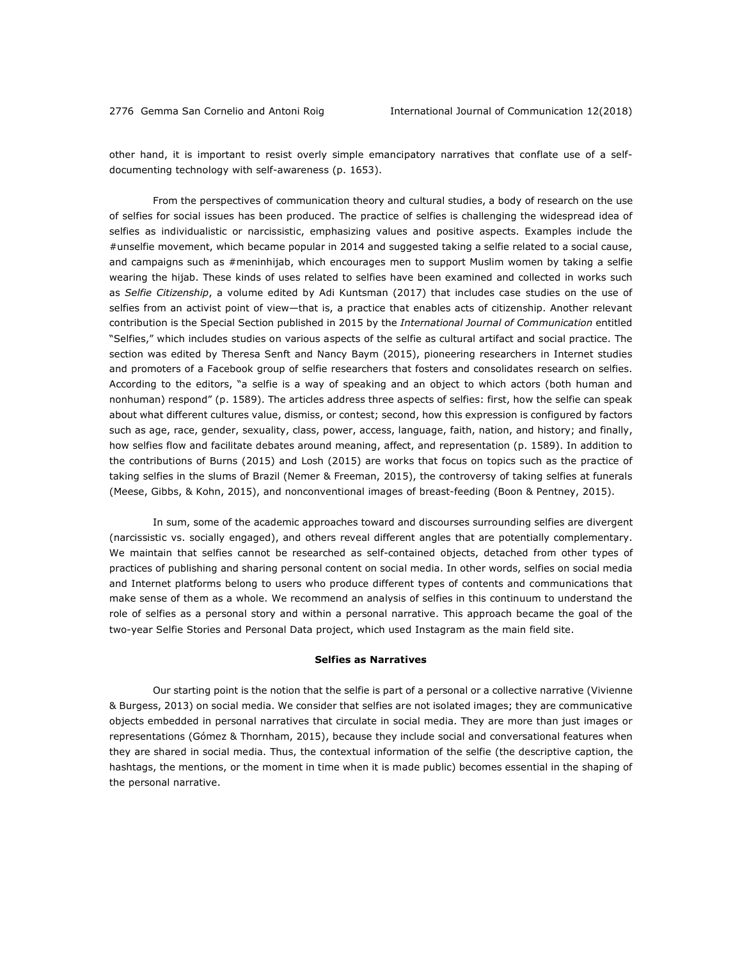other hand, it is important to resist overly simple emancipatory narratives that conflate use of a selfdocumenting technology with self-awareness (p. 1653).

From the perspectives of communication theory and cultural studies, a body of research on the use of selfies for social issues has been produced. The practice of selfies is challenging the widespread idea of selfies as individualistic or narcissistic, emphasizing values and positive aspects. Examples include the #unselfie movement, which became popular in 2014 and suggested taking a selfie related to a social cause, and campaigns such as #meninhijab, which encourages men to support Muslim women by taking a selfie wearing the hijab. These kinds of uses related to selfies have been examined and collected in works such as *Selfie Citizenship*, a volume edited by Adi Kuntsman (2017) that includes case studies on the use of selfies from an activist point of view—that is, a practice that enables acts of citizenship. Another relevant contribution is the Special Section published in 2015 by the *International Journal of Communication* entitled "Selfies," which includes studies on various aspects of the selfie as cultural artifact and social practice. The section was edited by Theresa Senft and Nancy Baym (2015), pioneering researchers in Internet studies and promoters of a Facebook group of selfie researchers that fosters and consolidates research on selfies. According to the editors, "a selfie is a way of speaking and an object to which actors (both human and nonhuman) respond" (p. 1589). The articles address three aspects of selfies: first, how the selfie can speak about what different cultures value, dismiss, or contest; second, how this expression is configured by factors such as age, race, gender, sexuality, class, power, access, language, faith, nation, and history; and finally, how selfies flow and facilitate debates around meaning, affect, and representation (p. 1589). In addition to the contributions of Burns (2015) and Losh (2015) are works that focus on topics such as the practice of taking selfies in the slums of Brazil (Nemer & Freeman, 2015), the controversy of taking selfies at funerals (Meese, Gibbs, & Kohn, 2015), and nonconventional images of breast-feeding (Boon & Pentney, 2015).

In sum, some of the academic approaches toward and discourses surrounding selfies are divergent (narcissistic vs. socially engaged), and others reveal different angles that are potentially complementary. We maintain that selfies cannot be researched as self-contained objects, detached from other types of practices of publishing and sharing personal content on social media. In other words, selfies on social media and Internet platforms belong to users who produce different types of contents and communications that make sense of them as a whole. We recommend an analysis of selfies in this continuum to understand the role of selfies as a personal story and within a personal narrative. This approach became the goal of the two-year Selfie Stories and Personal Data project, which used Instagram as the main field site.

#### **Selfies as Narratives**

Our starting point is the notion that the selfie is part of a personal or a collective narrative (Vivienne & Burgess, 2013) on social media. We consider that selfies are not isolated images; they are communicative objects embedded in personal narratives that circulate in social media. They are more than just images or representations (Gómez & Thornham, 2015), because they include social and conversational features when they are shared in social media. Thus, the contextual information of the selfie (the descriptive caption, the hashtags, the mentions, or the moment in time when it is made public) becomes essential in the shaping of the personal narrative.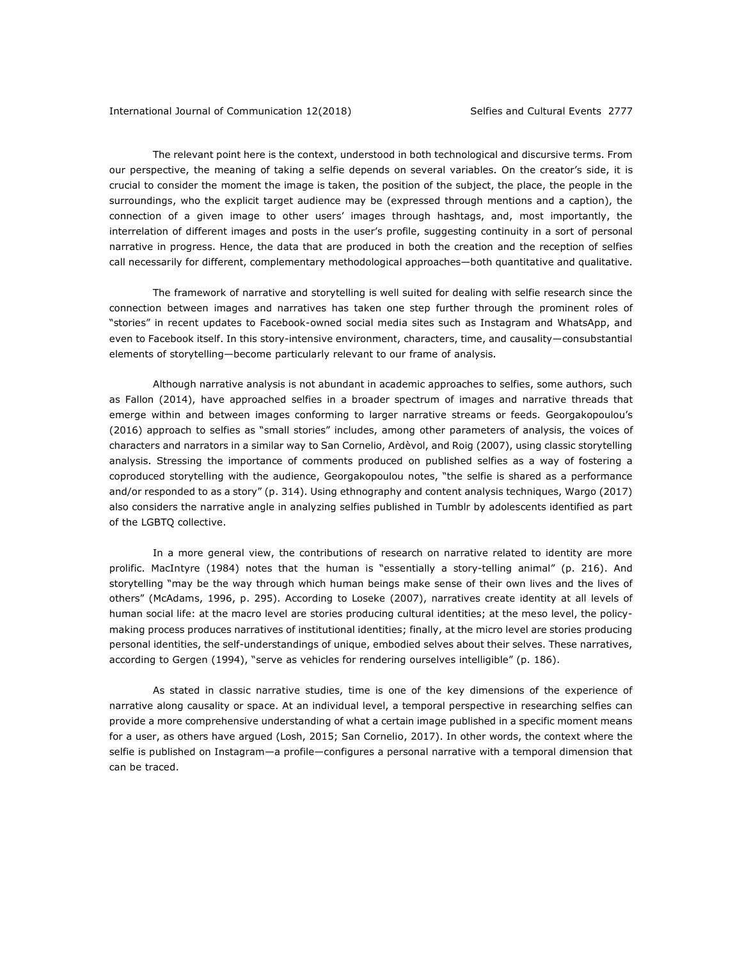The relevant point here is the context, understood in both technological and discursive terms. From our perspective, the meaning of taking a selfie depends on several variables. On the creator's side, it is crucial to consider the moment the image is taken, the position of the subject, the place, the people in the surroundings, who the explicit target audience may be (expressed through mentions and a caption), the connection of a given image to other users' images through hashtags, and, most importantly, the interrelation of different images and posts in the user's profile, suggesting continuity in a sort of personal narrative in progress. Hence, the data that are produced in both the creation and the reception of selfies call necessarily for different, complementary methodological approaches—both quantitative and qualitative.

The framework of narrative and storytelling is well suited for dealing with selfie research since the connection between images and narratives has taken one step further through the prominent roles of "stories" in recent updates to Facebook-owned social media sites such as Instagram and WhatsApp, and even to Facebook itself. In this story-intensive environment, characters, time, and causality—consubstantial elements of storytelling—become particularly relevant to our frame of analysis.

Although narrative analysis is not abundant in academic approaches to selfies, some authors, such as Fallon (2014), have approached selfies in a broader spectrum of images and narrative threads that emerge within and between images conforming to larger narrative streams or feeds. Georgakopoulou's (2016) approach to selfies as "small stories" includes, among other parameters of analysis, the voices of characters and narrators in a similar way to San Cornelio, Ardèvol, and Roig (2007), using classic storytelling analysis. Stressing the importance of comments produced on published selfies as a way of fostering a coproduced storytelling with the audience, Georgakopoulou notes, "the selfie is shared as a performance and/or responded to as a story" (p. 314). Using ethnography and content analysis techniques, Wargo (2017) also considers the narrative angle in analyzing selfies published in Tumblr by adolescents identified as part of the LGBTQ collective.

In a more general view, the contributions of research on narrative related to identity are more prolific. MacIntyre (1984) notes that the human is "essentially a story-telling animal" (p. 216). And storytelling "may be the way through which human beings make sense of their own lives and the lives of others" (McAdams, 1996, p. 295). According to Loseke (2007), narratives create identity at all levels of human social life: at the macro level are stories producing cultural identities; at the meso level, the policymaking process produces narratives of institutional identities; finally, at the micro level are stories producing personal identities, the self-understandings of unique, embodied selves about their selves. These narratives, according to Gergen (1994), "serve as vehicles for rendering ourselves intelligible" (p. 186).

As stated in classic narrative studies, time is one of the key dimensions of the experience of narrative along causality or space. At an individual level, a temporal perspective in researching selfies can provide a more comprehensive understanding of what a certain image published in a specific moment means for a user, as others have argued (Losh, 2015; San Cornelio, 2017). In other words, the context where the selfie is published on Instagram—a profile—configures a personal narrative with a temporal dimension that can be traced.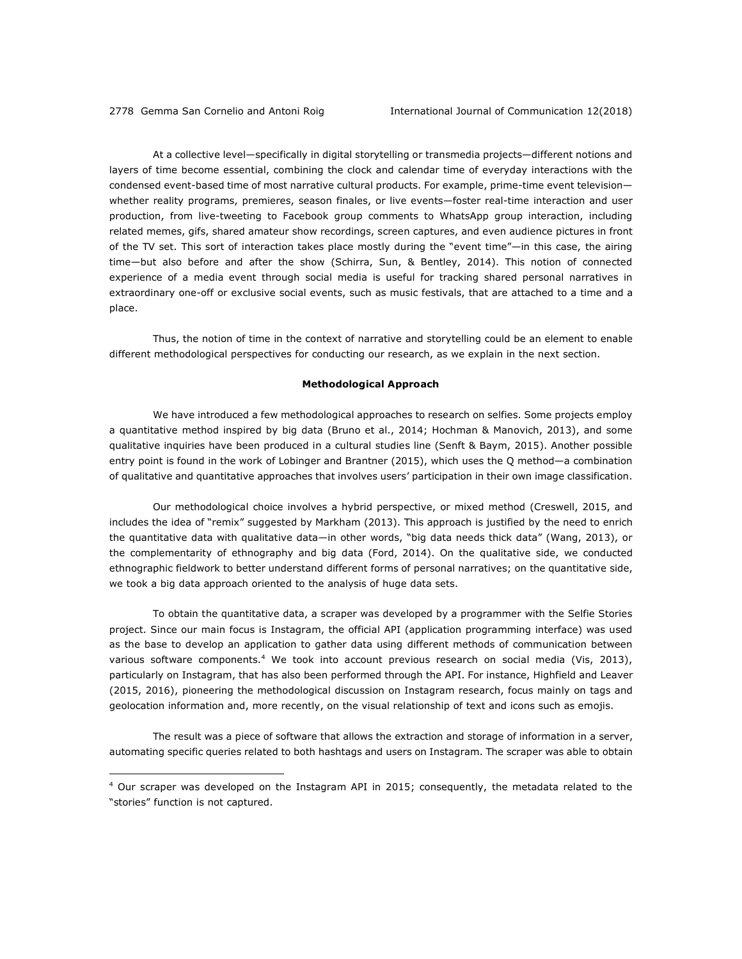1

At a collective level—specifically in digital storytelling or transmedia projects—different notions and layers of time become essential, combining the clock and calendar time of everyday interactions with the condensed event-based time of most narrative cultural products. For example, prime-time event television whether reality programs, premieres, season finales, or live events—foster real-time interaction and user production, from live-tweeting to Facebook group comments to WhatsApp group interaction, including related memes, gifs, shared amateur show recordings, screen captures, and even audience pictures in front of the TV set. This sort of interaction takes place mostly during the "event time"—in this case, the airing time—but also before and after the show (Schirra, Sun, & Bentley, 2014). This notion of connected experience of a media event through social media is useful for tracking shared personal narratives in extraordinary one-off or exclusive social events, such as music festivals, that are attached to a time and a place.

Thus, the notion of time in the context of narrative and storytelling could be an element to enable different methodological perspectives for conducting our research, as we explain in the next section.

#### **Methodological Approach**

We have introduced a few methodological approaches to research on selfies. Some projects employ a quantitative method inspired by big data (Bruno et al., 2014; Hochman & Manovich, 2013), and some qualitative inquiries have been produced in a cultural studies line (Senft & Baym, 2015). Another possible entry point is found in the work of Lobinger and Brantner (2015), which uses the Q method—a combination of qualitative and quantitative approaches that involves users' participation in their own image classification.

Our methodological choice involves a hybrid perspective, or mixed method (Creswell, 2015, and includes the idea of "remix" suggested by Markham (2013). This approach is justified by the need to enrich the quantitative data with qualitative data—in other words, "big data needs thick data" (Wang, 2013), or the complementarity of ethnography and big data (Ford, 2014). On the qualitative side, we conducted ethnographic fieldwork to better understand different forms of personal narratives; on the quantitative side, we took a big data approach oriented to the analysis of huge data sets.

To obtain the quantitative data, a scraper was developed by a programmer with the Selfie Stories project. Since our main focus is Instagram, the official API (application programming interface) was used as the base to develop an application to gather data using different methods of communication between various software components.<sup>4</sup> We took into account previous research on social media (Vis, 2013), particularly on Instagram, that has also been performed through the API. For instance, Highfield and Leaver (2015, 2016), pioneering the methodological discussion on Instagram research, focus mainly on tags and geolocation information and, more recently, on the visual relationship of text and icons such as emojis.

The result was a piece of software that allows the extraction and storage of information in a server, automating specific queries related to both hashtags and users on Instagram. The scraper was able to obtain

 $4$  Our scraper was developed on the Instagram API in 2015; consequently, the metadata related to the "stories" function is not captured.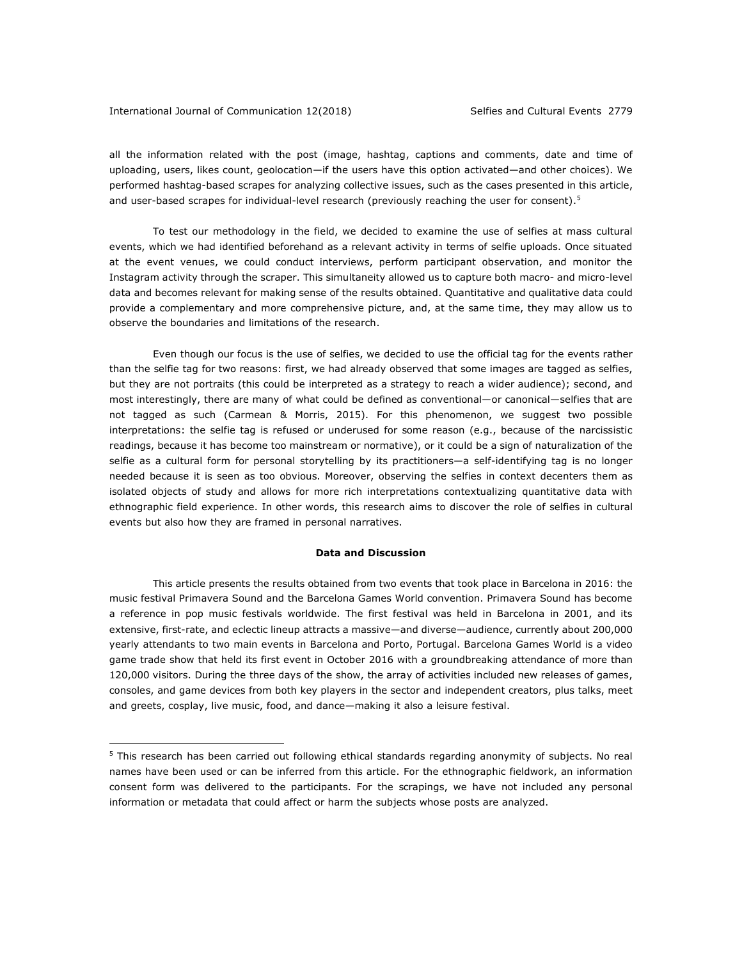#### International Journal of Communication 12(2018) Selfies and Cultural Events 2779

1

all the information related with the post (image, hashtag, captions and comments, date and time of uploading, users, likes count, geolocation—if the users have this option activated—and other choices). We performed hashtag-based scrapes for analyzing collective issues, such as the cases presented in this article, and user-based scrapes for individual-level research (previously reaching the user for consent).<sup>5</sup>

To test our methodology in the field, we decided to examine the use of selfies at mass cultural events, which we had identified beforehand as a relevant activity in terms of selfie uploads. Once situated at the event venues, we could conduct interviews, perform participant observation, and monitor the Instagram activity through the scraper. This simultaneity allowed us to capture both macro- and micro-level data and becomes relevant for making sense of the results obtained. Quantitative and qualitative data could provide a complementary and more comprehensive picture, and, at the same time, they may allow us to observe the boundaries and limitations of the research.

Even though our focus is the use of selfies, we decided to use the official tag for the events rather than the selfie tag for two reasons: first, we had already observed that some images are tagged as selfies, but they are not portraits (this could be interpreted as a strategy to reach a wider audience); second, and most interestingly, there are many of what could be defined as conventional—or canonical—selfies that are not tagged as such (Carmean & Morris, 2015). For this phenomenon, we suggest two possible interpretations: the selfie tag is refused or underused for some reason (e.g., because of the narcissistic readings, because it has become too mainstream or normative), or it could be a sign of naturalization of the selfie as a cultural form for personal storytelling by its practitioners—a self-identifying tag is no longer needed because it is seen as too obvious. Moreover, observing the selfies in context decenters them as isolated objects of study and allows for more rich interpretations contextualizing quantitative data with ethnographic field experience. In other words, this research aims to discover the role of selfies in cultural events but also how they are framed in personal narratives.

### **Data and Discussion**

This article presents the results obtained from two events that took place in Barcelona in 2016: the music festival Primavera Sound and the Barcelona Games World convention. Primavera Sound has become a reference in pop music festivals worldwide. The first festival was held in Barcelona in 2001, and its extensive, first-rate, and eclectic lineup attracts a massive—and diverse—audience, currently about 200,000 yearly attendants to two main events in Barcelona and Porto, Portugal. Barcelona Games World is a video game trade show that held its first event in October 2016 with a groundbreaking attendance of more than 120,000 visitors. During the three days of the show, the array of activities included new releases of games, consoles, and game devices from both key players in the sector and independent creators, plus talks, meet and greets, cosplay, live music, food, and dance—making it also a leisure festival.

<sup>&</sup>lt;sup>5</sup> This research has been carried out following ethical standards regarding anonymity of subjects. No real names have been used or can be inferred from this article. For the ethnographic fieldwork, an information consent form was delivered to the participants. For the scrapings, we have not included any personal information or metadata that could affect or harm the subjects whose posts are analyzed.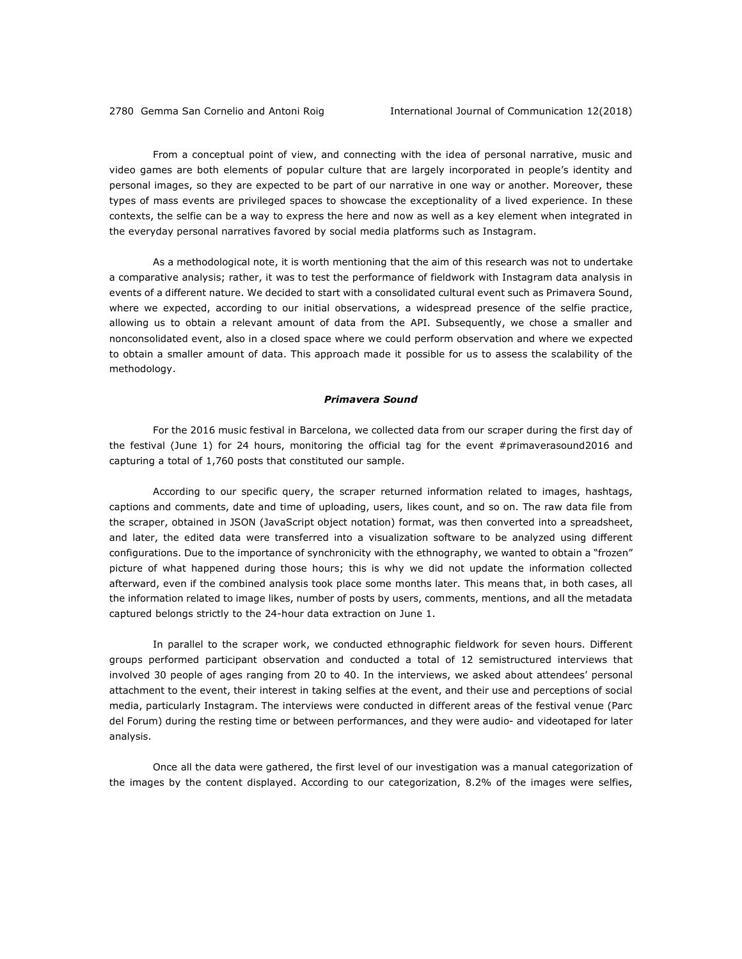From a conceptual point of view, and connecting with the idea of personal narrative, music and video games are both elements of popular culture that are largely incorporated in people's identity and personal images, so they are expected to be part of our narrative in one way or another. Moreover, these types of mass events are privileged spaces to showcase the exceptionality of a lived experience. In these contexts, the selfie can be a way to express the here and now as well as a key element when integrated in the everyday personal narratives favored by social media platforms such as Instagram.

As a methodological note, it is worth mentioning that the aim of this research was not to undertake a comparative analysis; rather, it was to test the performance of fieldwork with Instagram data analysis in events of a different nature. We decided to start with a consolidated cultural event such as Primavera Sound, where we expected, according to our initial observations, a widespread presence of the selfie practice, allowing us to obtain a relevant amount of data from the API. Subsequently, we chose a smaller and nonconsolidated event, also in a closed space where we could perform observation and where we expected to obtain a smaller amount of data. This approach made it possible for us to assess the scalability of the methodology.

## *Primavera Sound*

For the 2016 music festival in Barcelona, we collected data from our scraper during the first day of the festival (June 1) for 24 hours, monitoring the official tag for the event #primaverasound2016 and capturing a total of 1,760 posts that constituted our sample.

According to our specific query, the scraper returned information related to images, hashtags, captions and comments, date and time of uploading, users, likes count, and so on. The raw data file from the scraper, obtained in JSON (JavaScript object notation) format, was then converted into a spreadsheet, and later, the edited data were transferred into a visualization software to be analyzed using different configurations. Due to the importance of synchronicity with the ethnography, we wanted to obtain a "frozen" picture of what happened during those hours; this is why we did not update the information collected afterward, even if the combined analysis took place some months later. This means that, in both cases, all the information related to image likes, number of posts by users, comments, mentions, and all the metadata captured belongs strictly to the 24-hour data extraction on June 1.

In parallel to the scraper work, we conducted ethnographic fieldwork for seven hours. Different groups performed participant observation and conducted a total of 12 semistructured interviews that involved 30 people of ages ranging from 20 to 40. In the interviews, we asked about attendees' personal attachment to the event, their interest in taking selfies at the event, and their use and perceptions of social media, particularly Instagram. The interviews were conducted in different areas of the festival venue (Parc del Forum) during the resting time or between performances, and they were audio- and videotaped for later analysis.

Once all the data were gathered, the first level of our investigation was a manual categorization of the images by the content displayed. According to our categorization, 8.2% of the images were selfies,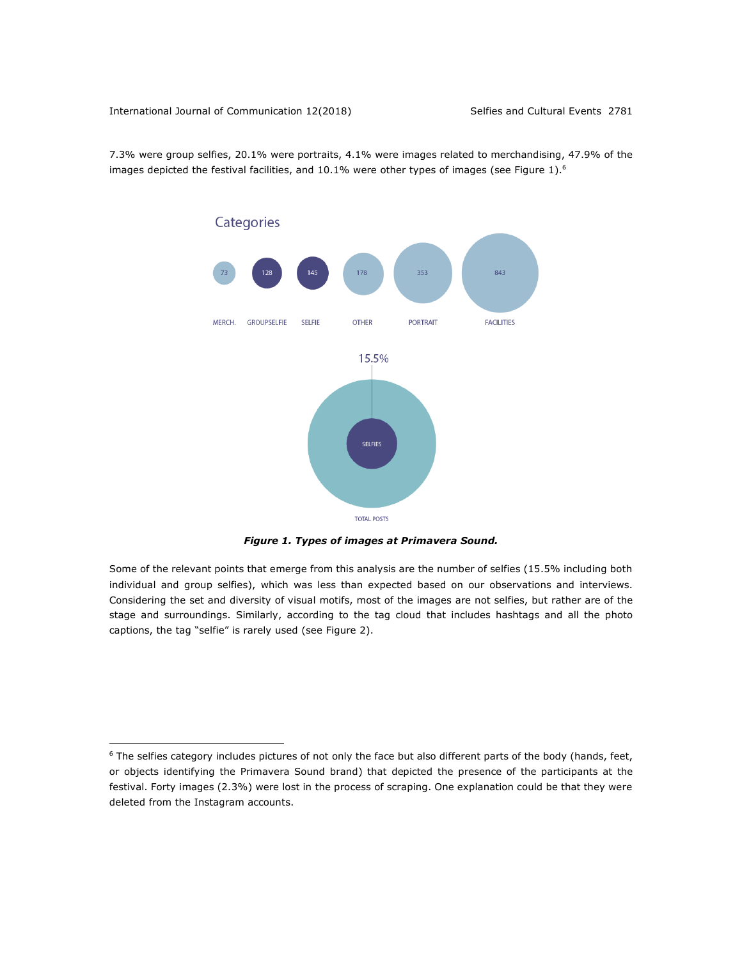1

7.3% were group selfies, 20.1% were portraits, 4.1% were images related to merchandising, 47.9% of the images depicted the festival facilities, and  $10.1\%$  were other types of images (see Figure 1).<sup>6</sup>



*Figure 1. Types of images at Primavera Sound.*

Some of the relevant points that emerge from this analysis are the number of selfies (15.5% including both individual and group selfies), which was less than expected based on our observations and interviews. Considering the set and diversity of visual motifs, most of the images are not selfies, but rather are of the stage and surroundings. Similarly, according to the tag cloud that includes hashtags and all the photo captions, the tag "selfie" is rarely used (see Figure 2).

 $6$  The selfies category includes pictures of not only the face but also different parts of the body (hands, feet, or objects identifying the Primavera Sound brand) that depicted the presence of the participants at the festival. Forty images (2.3%) were lost in the process of scraping. One explanation could be that they were deleted from the Instagram accounts.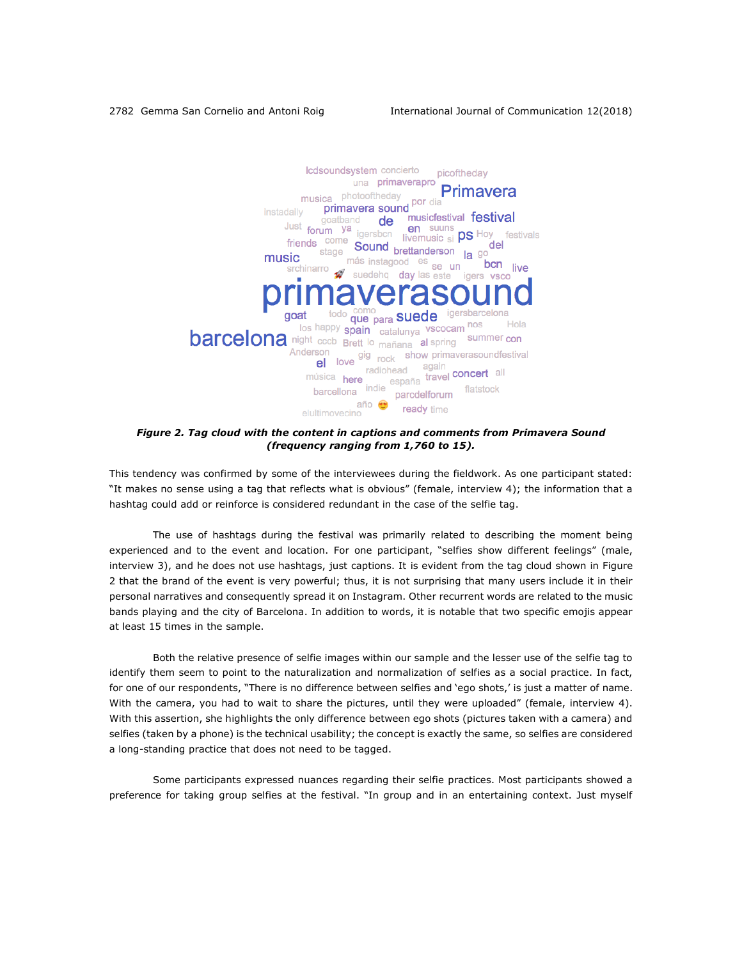

*Figure 2. Tag cloud with the content in captions and comments from Primavera Sound (frequency ranging from 1,760 to 15).*

This tendency was confirmed by some of the interviewees during the fieldwork. As one participant stated: "It makes no sense using a tag that reflects what is obvious" (female, interview 4); the information that a hashtag could add or reinforce is considered redundant in the case of the selfie tag.

The use of hashtags during the festival was primarily related to describing the moment being experienced and to the event and location. For one participant, "selfies show different feelings" (male, interview 3), and he does not use hashtags, just captions. It is evident from the tag cloud shown in Figure 2 that the brand of the event is very powerful; thus, it is not surprising that many users include it in their personal narratives and consequently spread it on Instagram. Other recurrent words are related to the music bands playing and the city of Barcelona. In addition to words, it is notable that two specific emojis appear at least 15 times in the sample.

Both the relative presence of selfie images within our sample and the lesser use of the selfie tag to identify them seem to point to the naturalization and normalization of selfies as a social practice. In fact, for one of our respondents, "There is no difference between selfies and 'ego shots,' is just a matter of name. With the camera, you had to wait to share the pictures, until they were uploaded" (female, interview 4). With this assertion, she highlights the only difference between ego shots (pictures taken with a camera) and selfies (taken by a phone) is the technical usability; the concept is exactly the same, so selfies are considered a long-standing practice that does not need to be tagged.

Some participants expressed nuances regarding their selfie practices. Most participants showed a preference for taking group selfies at the festival. "In group and in an entertaining context. Just myself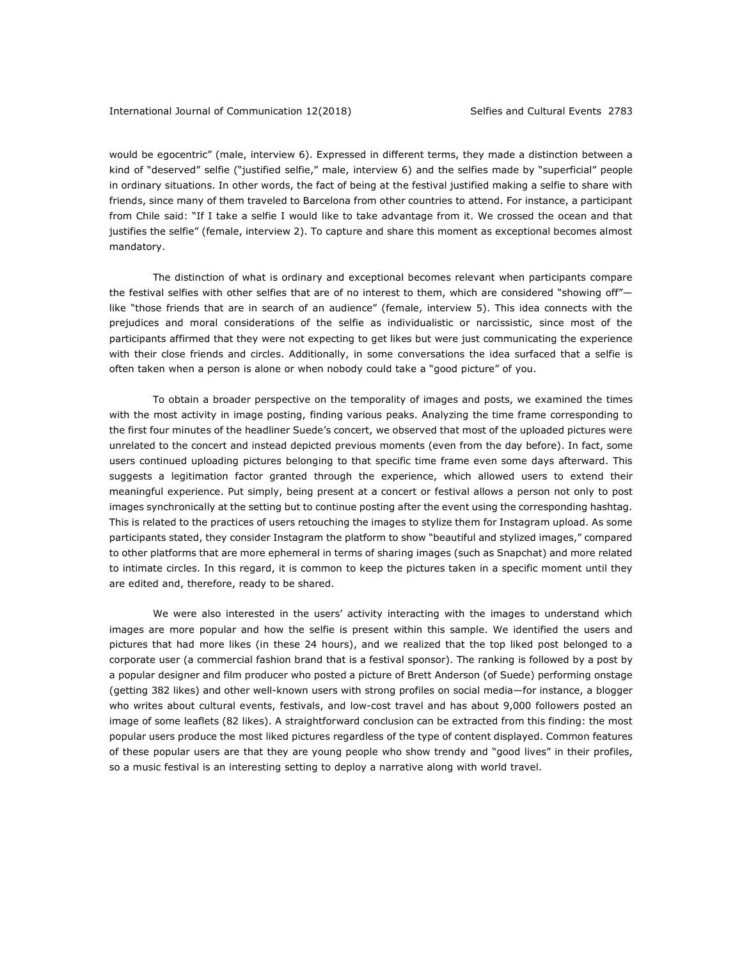would be egocentric" (male, interview 6). Expressed in different terms, they made a distinction between a kind of "deserved" selfie ("justified selfie," male, interview 6) and the selfies made by "superficial" people in ordinary situations. In other words, the fact of being at the festival justified making a selfie to share with friends, since many of them traveled to Barcelona from other countries to attend. For instance, a participant from Chile said: "If I take a selfie I would like to take advantage from it. We crossed the ocean and that justifies the selfie" (female, interview 2). To capture and share this moment as exceptional becomes almost mandatory.

The distinction of what is ordinary and exceptional becomes relevant when participants compare the festival selfies with other selfies that are of no interest to them, which are considered "showing off" like "those friends that are in search of an audience" (female, interview 5). This idea connects with the prejudices and moral considerations of the selfie as individualistic or narcissistic, since most of the participants affirmed that they were not expecting to get likes but were just communicating the experience with their close friends and circles. Additionally, in some conversations the idea surfaced that a selfie is often taken when a person is alone or when nobody could take a "good picture" of you.

To obtain a broader perspective on the temporality of images and posts, we examined the times with the most activity in image posting, finding various peaks. Analyzing the time frame corresponding to the first four minutes of the headliner Suede's concert, we observed that most of the uploaded pictures were unrelated to the concert and instead depicted previous moments (even from the day before). In fact, some users continued uploading pictures belonging to that specific time frame even some days afterward. This suggests a legitimation factor granted through the experience, which allowed users to extend their meaningful experience. Put simply, being present at a concert or festival allows a person not only to post images synchronically at the setting but to continue posting after the event using the corresponding hashtag. This is related to the practices of users retouching the images to stylize them for Instagram upload. As some participants stated, they consider Instagram the platform to show "beautiful and stylized images," compared to other platforms that are more ephemeral in terms of sharing images (such as Snapchat) and more related to intimate circles. In this regard, it is common to keep the pictures taken in a specific moment until they are edited and, therefore, ready to be shared.

We were also interested in the users' activity interacting with the images to understand which images are more popular and how the selfie is present within this sample. We identified the users and pictures that had more likes (in these 24 hours), and we realized that the top liked post belonged to a corporate user (a commercial fashion brand that is a festival sponsor). The ranking is followed by a post by a popular designer and film producer who posted a picture of Brett Anderson (of Suede) performing onstage (getting 382 likes) and other well-known users with strong profiles on social media—for instance, a blogger who writes about cultural events, festivals, and low-cost travel and has about 9,000 followers posted an image of some leaflets (82 likes). A straightforward conclusion can be extracted from this finding: the most popular users produce the most liked pictures regardless of the type of content displayed. Common features of these popular users are that they are young people who show trendy and "good lives" in their profiles, so a music festival is an interesting setting to deploy a narrative along with world travel.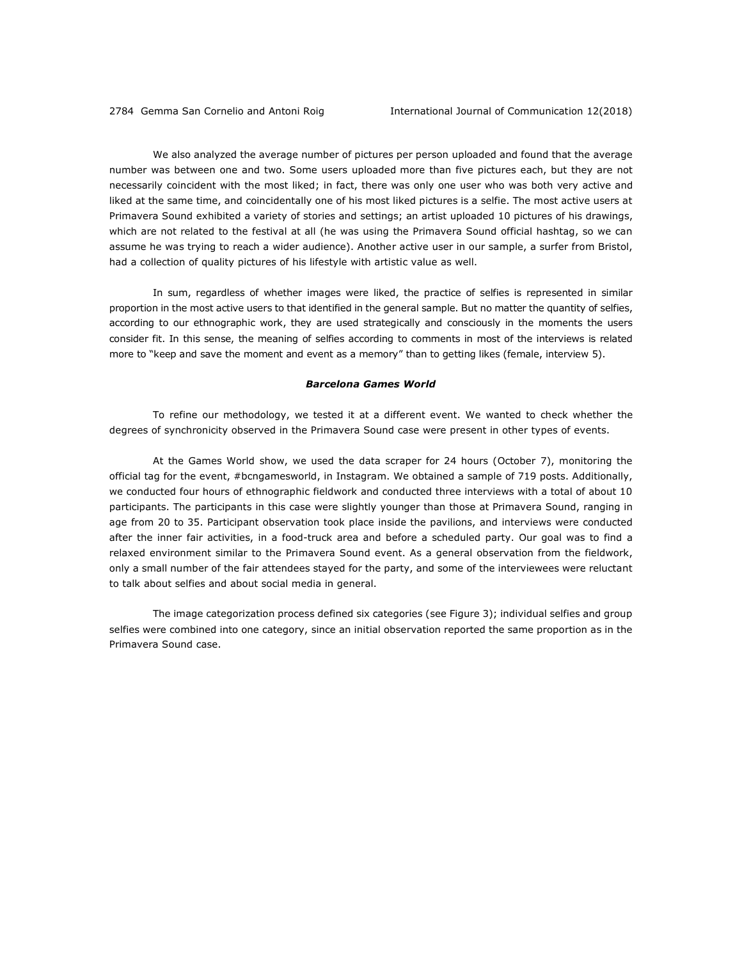We also analyzed the average number of pictures per person uploaded and found that the average number was between one and two. Some users uploaded more than five pictures each, but they are not necessarily coincident with the most liked; in fact, there was only one user who was both very active and liked at the same time, and coincidentally one of his most liked pictures is a selfie. The most active users at Primavera Sound exhibited a variety of stories and settings; an artist uploaded 10 pictures of his drawings, which are not related to the festival at all (he was using the Primavera Sound official hashtag, so we can assume he was trying to reach a wider audience). Another active user in our sample, a surfer from Bristol, had a collection of quality pictures of his lifestyle with artistic value as well.

In sum, regardless of whether images were liked, the practice of selfies is represented in similar proportion in the most active users to that identified in the general sample. But no matter the quantity of selfies, according to our ethnographic work, they are used strategically and consciously in the moments the users consider fit. In this sense, the meaning of selfies according to comments in most of the interviews is related more to "keep and save the moment and event as a memory" than to getting likes (female, interview 5).

#### *Barcelona Games World*

To refine our methodology, we tested it at a different event. We wanted to check whether the degrees of synchronicity observed in the Primavera Sound case were present in other types of events.

At the Games World show, we used the data scraper for 24 hours (October 7), monitoring the official tag for the event, #bcngamesworld, in Instagram. We obtained a sample of 719 posts. Additionally, we conducted four hours of ethnographic fieldwork and conducted three interviews with a total of about 10 participants. The participants in this case were slightly younger than those at Primavera Sound, ranging in age from 20 to 35. Participant observation took place inside the pavilions, and interviews were conducted after the inner fair activities, in a food-truck area and before a scheduled party. Our goal was to find a relaxed environment similar to the Primavera Sound event. As a general observation from the fieldwork, only a small number of the fair attendees stayed for the party, and some of the interviewees were reluctant to talk about selfies and about social media in general.

The image categorization process defined six categories (see Figure 3); individual selfies and group selfies were combined into one category, since an initial observation reported the same proportion as in the Primavera Sound case.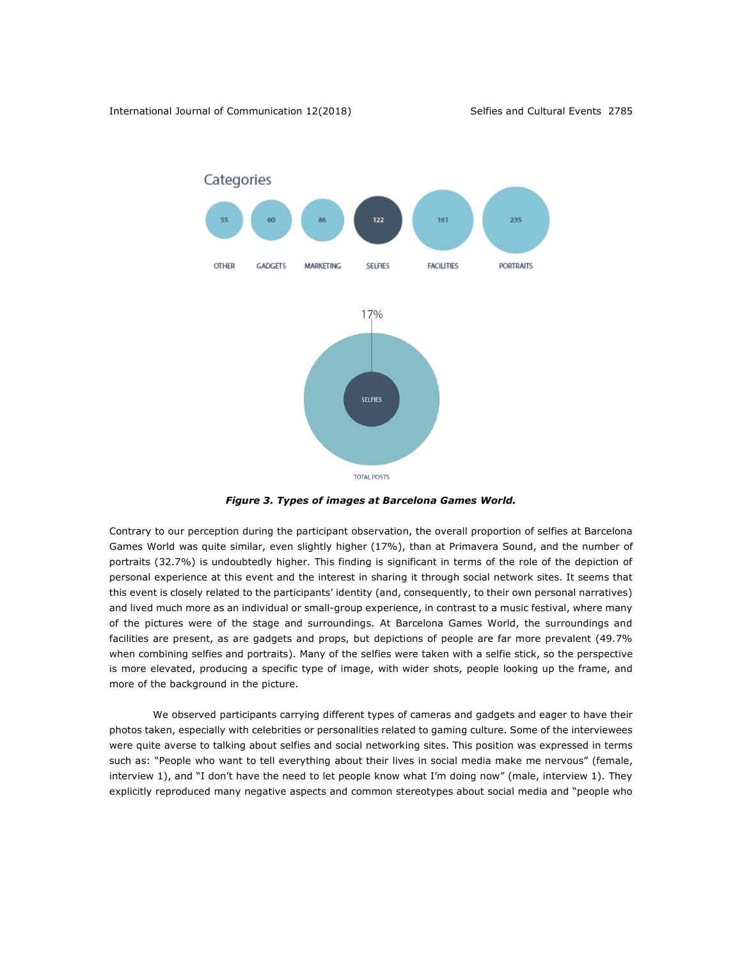

*Figure 3. Types of images at Barcelona Games World.*

Contrary to our perception during the participant observation, the overall proportion of selfies at Barcelona Games World was quite similar, even slightly higher (17%), than at Primavera Sound, and the number of portraits (32.7%) is undoubtedly higher. This finding is significant in terms of the role of the depiction of personal experience at this event and the interest in sharing it through social network sites. It seems that this event is closely related to the participants' identity (and, consequently, to their own personal narratives) and lived much more as an individual or small-group experience, in contrast to a music festival, where many of the pictures were of the stage and surroundings. At Barcelona Games World, the surroundings and facilities are present, as are gadgets and props, but depictions of people are far more prevalent (49.7% when combining selfies and portraits). Many of the selfies were taken with a selfie stick, so the perspective is more elevated, producing a specific type of image, with wider shots, people looking up the frame, and more of the background in the picture.

We observed participants carrying different types of cameras and gadgets and eager to have their photos taken, especially with celebrities or personalities related to gaming culture. Some of the interviewees were quite averse to talking about selfies and social networking sites. This position was expressed in terms such as: "People who want to tell everything about their lives in social media make me nervous" (female, interview 1), and "I don't have the need to let people know what I'm doing now" (male, interview 1). They explicitly reproduced many negative aspects and common stereotypes about social media and "people who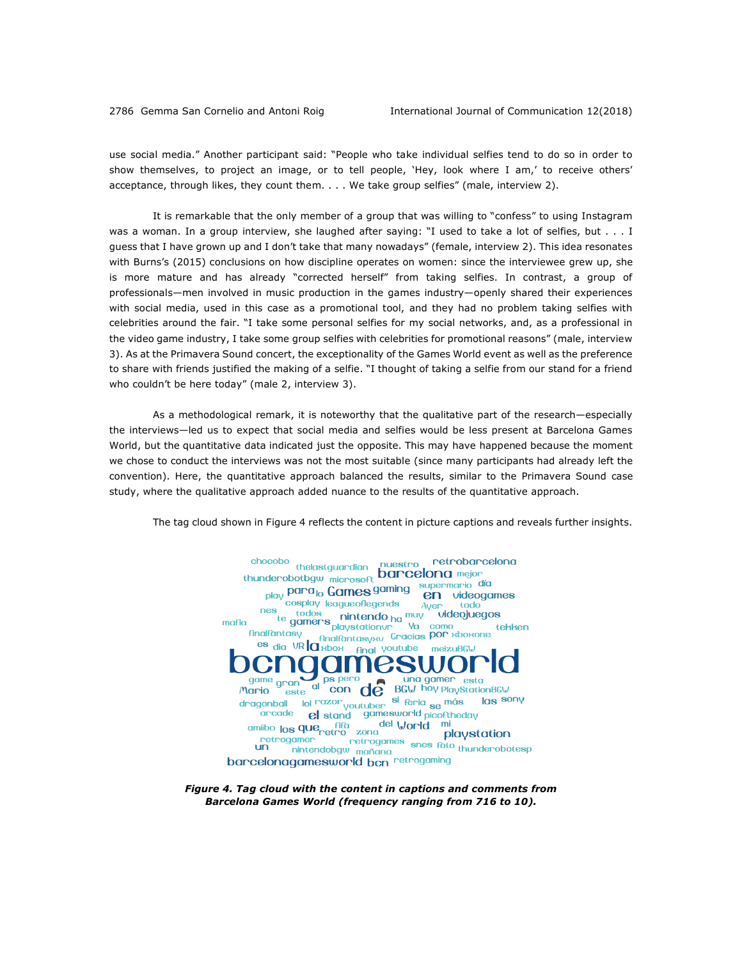use social media." Another participant said: "People who take individual selfies tend to do so in order to show themselves, to project an image, or to tell people, 'Hey, look where I am,' to receive others' acceptance, through likes, they count them. . . . We take group selfies" (male, interview 2).

It is remarkable that the only member of a group that was willing to "confess" to using Instagram was a woman. In a group interview, she laughed after saying: "I used to take a lot of selfies, but . . . I guess that I have grown up and I don't take that many nowadays" (female, interview 2). This idea resonates with Burns's (2015) conclusions on how discipline operates on women: since the interviewee grew up, she is more mature and has already "corrected herself" from taking selfies. In contrast, a group of professionals—men involved in music production in the games industry—openly shared their experiences with social media, used in this case as a promotional tool, and they had no problem taking selfies with celebrities around the fair. "I take some personal selfies for my social networks, and, as a professional in the video game industry, I take some group selfies with celebrities for promotional reasons" (male, interview 3). As at the Primavera Sound concert, the exceptionality of the Games World event as well as the preference to share with friends justified the making of a selfie. "I thought of taking a selfie from our stand for a friend who couldn't be here today" (male 2, interview 3).

As a methodological remark, it is noteworthy that the qualitative part of the research—especially the interviews—led us to expect that social media and selfies would be less present at Barcelona Games World, but the quantitative data indicated just the opposite. This may have happened because the moment we chose to conduct the interviews was not the most suitable (since many participants had already left the convention). Here, the quantitative approach balanced the results, similar to the Primavera Sound case study, where the qualitative approach added nuance to the results of the quantitative approach.

The tag cloud shown in Figure 4 reflects the content in picture captions and reveals further insights.



*Figure 4. Tag cloud with the content in captions and comments from Barcelona Games World (frequency ranging from 716 to 10).*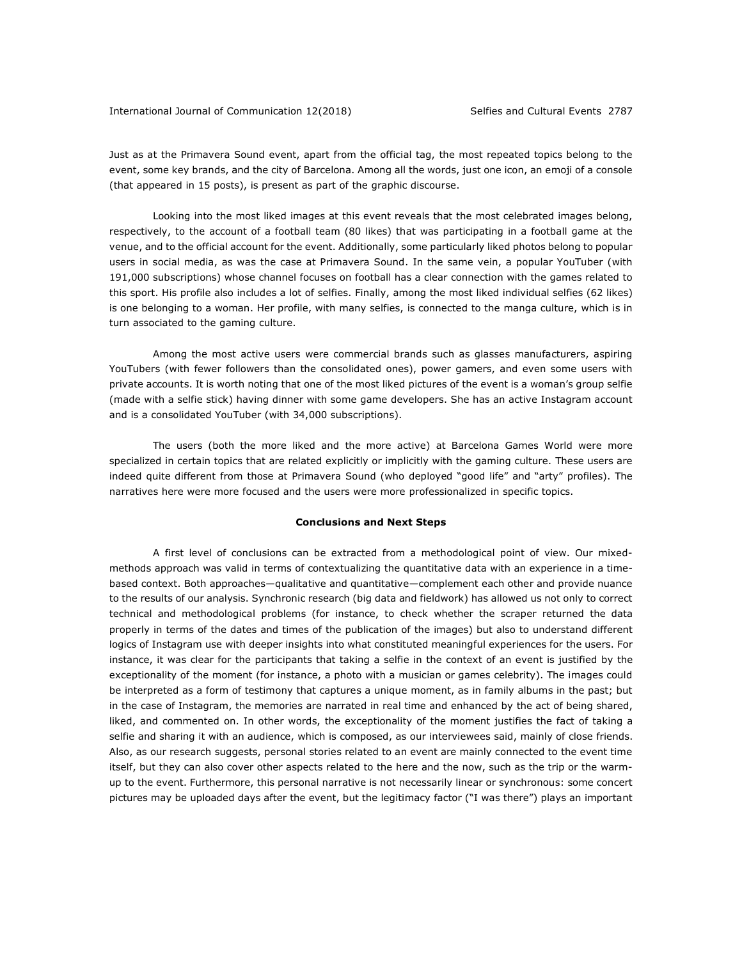Just as at the Primavera Sound event, apart from the official tag, the most repeated topics belong to the event, some key brands, and the city of Barcelona. Among all the words, just one icon, an emoji of a console (that appeared in 15 posts), is present as part of the graphic discourse.

Looking into the most liked images at this event reveals that the most celebrated images belong, respectively, to the account of a football team (80 likes) that was participating in a football game at the venue, and to the official account for the event. Additionally, some particularly liked photos belong to popular users in social media, as was the case at Primavera Sound. In the same vein, a popular YouTuber (with 191,000 subscriptions) whose channel focuses on football has a clear connection with the games related to this sport. His profile also includes a lot of selfies. Finally, among the most liked individual selfies (62 likes) is one belonging to a woman. Her profile, with many selfies, is connected to the manga culture, which is in turn associated to the gaming culture.

Among the most active users were commercial brands such as glasses manufacturers, aspiring YouTubers (with fewer followers than the consolidated ones), power gamers, and even some users with private accounts. It is worth noting that one of the most liked pictures of the event is a woman's group selfie (made with a selfie stick) having dinner with some game developers. She has an active Instagram account and is a consolidated YouTuber (with 34,000 subscriptions).

The users (both the more liked and the more active) at Barcelona Games World were more specialized in certain topics that are related explicitly or implicitly with the gaming culture. These users are indeed quite different from those at Primavera Sound (who deployed "good life" and "arty" profiles). The narratives here were more focused and the users were more professionalized in specific topics.

#### **Conclusions and Next Steps**

A first level of conclusions can be extracted from a methodological point of view. Our mixedmethods approach was valid in terms of contextualizing the quantitative data with an experience in a timebased context. Both approaches—qualitative and quantitative—complement each other and provide nuance to the results of our analysis. Synchronic research (big data and fieldwork) has allowed us not only to correct technical and methodological problems (for instance, to check whether the scraper returned the data properly in terms of the dates and times of the publication of the images) but also to understand different logics of Instagram use with deeper insights into what constituted meaningful experiences for the users. For instance, it was clear for the participants that taking a selfie in the context of an event is justified by the exceptionality of the moment (for instance, a photo with a musician or games celebrity). The images could be interpreted as a form of testimony that captures a unique moment, as in family albums in the past; but in the case of Instagram, the memories are narrated in real time and enhanced by the act of being shared, liked, and commented on. In other words, the exceptionality of the moment justifies the fact of taking a selfie and sharing it with an audience, which is composed, as our interviewees said, mainly of close friends. Also, as our research suggests, personal stories related to an event are mainly connected to the event time itself, but they can also cover other aspects related to the here and the now, such as the trip or the warmup to the event. Furthermore, this personal narrative is not necessarily linear or synchronous: some concert pictures may be uploaded days after the event, but the legitimacy factor ("I was there") plays an important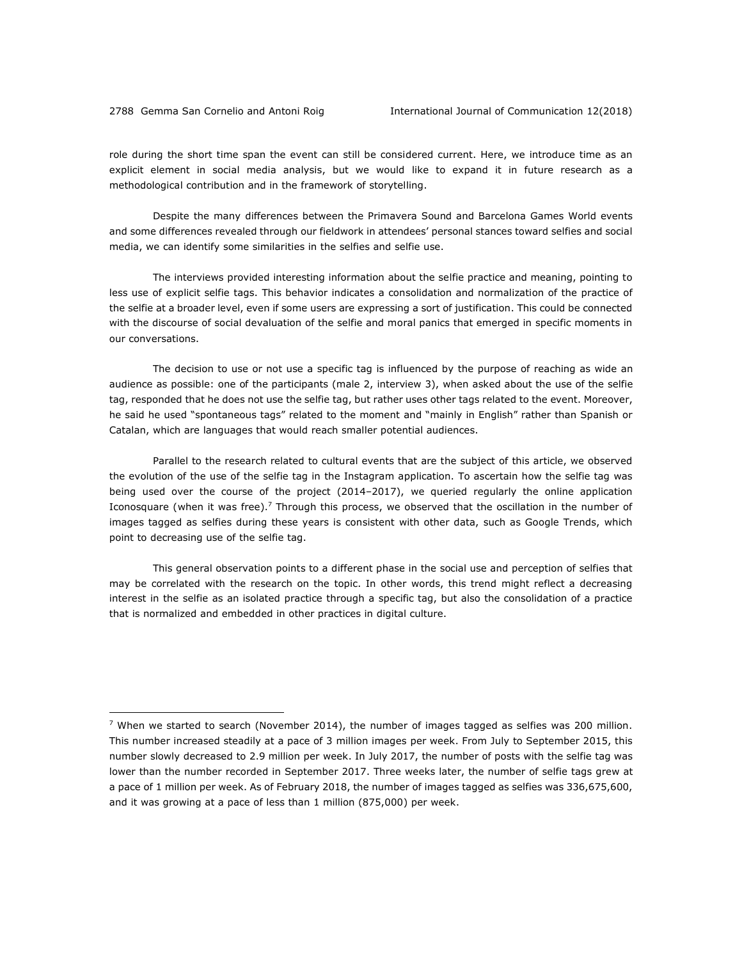<u>.</u>

role during the short time span the event can still be considered current. Here, we introduce time as an explicit element in social media analysis, but we would like to expand it in future research as a methodological contribution and in the framework of storytelling.

Despite the many differences between the Primavera Sound and Barcelona Games World events and some differences revealed through our fieldwork in attendees' personal stances toward selfies and social media, we can identify some similarities in the selfies and selfie use.

The interviews provided interesting information about the selfie practice and meaning, pointing to less use of explicit selfie tags. This behavior indicates a consolidation and normalization of the practice of the selfie at a broader level, even if some users are expressing a sort of justification. This could be connected with the discourse of social devaluation of the selfie and moral panics that emerged in specific moments in our conversations.

The decision to use or not use a specific tag is influenced by the purpose of reaching as wide an audience as possible: one of the participants (male 2, interview 3), when asked about the use of the selfie tag, responded that he does not use the selfie tag, but rather uses other tags related to the event. Moreover, he said he used "spontaneous tags" related to the moment and "mainly in English" rather than Spanish or Catalan, which are languages that would reach smaller potential audiences.

Parallel to the research related to cultural events that are the subject of this article, we observed the evolution of the use of the selfie tag in the Instagram application. To ascertain how the selfie tag was being used over the course of the project (2014–2017), we queried regularly the online application Iconosquare (when it was free).<sup>7</sup> Through this process, we observed that the oscillation in the number of images tagged as selfies during these years is consistent with other data, such as Google Trends, which point to decreasing use of the selfie tag.

This general observation points to a different phase in the social use and perception of selfies that may be correlated with the research on the topic. In other words, this trend might reflect a decreasing interest in the selfie as an isolated practice through a specific tag, but also the consolidation of a practice that is normalized and embedded in other practices in digital culture.

<sup>&</sup>lt;sup>7</sup> When we started to search (November 2014), the number of images tagged as selfies was 200 million. This number increased steadily at a pace of 3 million images per week. From July to September 2015, this number slowly decreased to 2.9 million per week. In July 2017, the number of posts with the selfie tag was lower than the number recorded in September 2017. Three weeks later, the number of selfie tags grew at a pace of 1 million per week. As of February 2018, the number of images tagged as selfies was 336,675,600, and it was growing at a pace of less than 1 million (875,000) per week.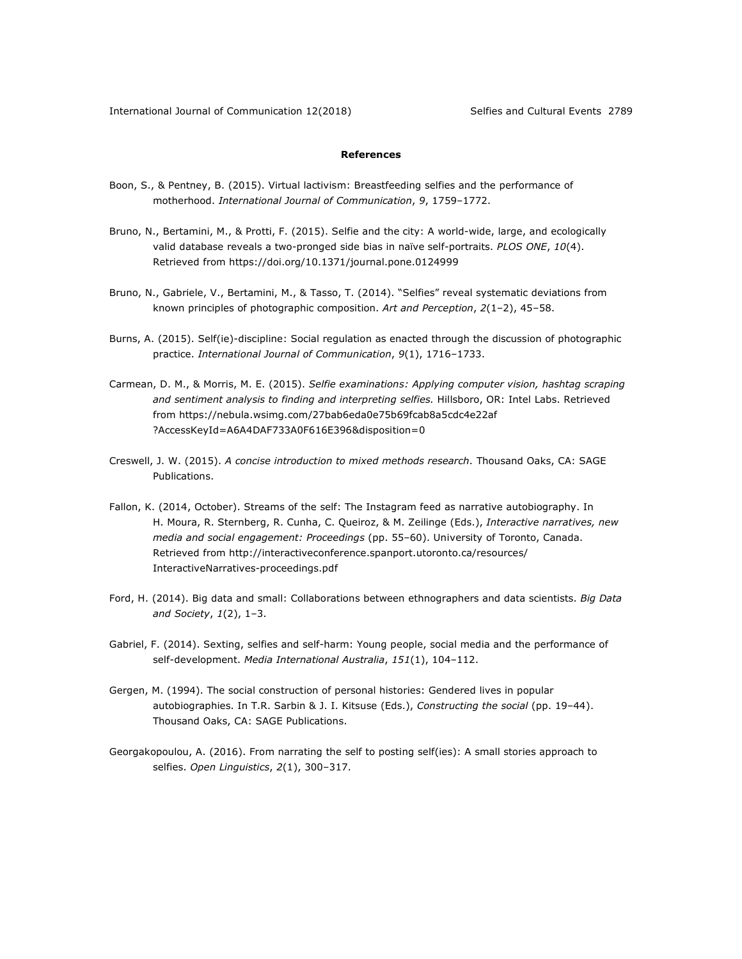# **References**

- Boon, S., & Pentney, B. (2015). Virtual lactivism: Breastfeeding selfies and the performance of motherhood. *International Journal of Communication*, *9*, 1759–1772.
- Bruno, N., Bertamini, M., & Protti, F. (2015). Selfie and the city: A world-wide, large, and ecologically valid database reveals a two-pronged side bias in naïve self-portraits. *PLOS ONE*, *10*(4). Retrieved from https://doi.org/10.1371/journal.pone.0124999
- Bruno, N., Gabriele, V., Bertamini, M., & Tasso, T. (2014). "Selfies" reveal systematic deviations from known principles of photographic composition. *Art and Perception*, *2*(1‒2), 45–58.
- Burns, A. (2015). Self(ie)-discipline: Social regulation as enacted through the discussion of photographic practice. *International Journal of Communication*, *9*(1), 1716–1733.
- Carmean, D. M., & Morris, M. E. (2015). *Selfie examinations: Applying computer vision, hashtag scraping and sentiment analysis to finding and interpreting selfies.* Hillsboro, OR: Intel Labs. Retrieved from https://nebula.wsimg.com/27bab6eda0e75b69fcab8a5cdc4e22af ?AccessKeyId=A6A4DAF733A0F616E396&disposition=0
- Creswell, J. W. (2015). *A concise introduction to mixed methods research*. Thousand Oaks, CA: SAGE Publications.
- Fallon, K. (2014, October). Streams of the self: The Instagram feed as narrative autobiography. In H. Moura, R. Sternberg, R. Cunha, C. Queiroz, & M. Zeilinge (Eds.), *Interactive narratives, new media and social engagement: Proceedings* (pp. 55–60). University of Toronto, Canada. Retrieved from http://interactiveconference.spanport.utoronto.ca/resources/ InteractiveNarratives-proceedings.pdf
- Ford, H. (2014). Big data and small: Collaborations between ethnographers and data scientists. *Big Data and Society*, *1*(2), 1–3.
- Gabriel, F. (2014). Sexting, selfies and self-harm: Young people, social media and the performance of self-development. *Media International Australia*, *151*(1), 104–112.
- Gergen, M. (1994). The social construction of personal histories: Gendered lives in popular autobiographies. In T.R. Sarbin & J. I. Kitsuse (Eds.), *Constructing the social* (pp. 19–44). Thousand Oaks, CA: SAGE Publications.
- Georgakopoulou, A. (2016). From narrating the self to posting self(ies): A small stories approach to selfies. *Open Linguistics*, *2*(1), 300–317.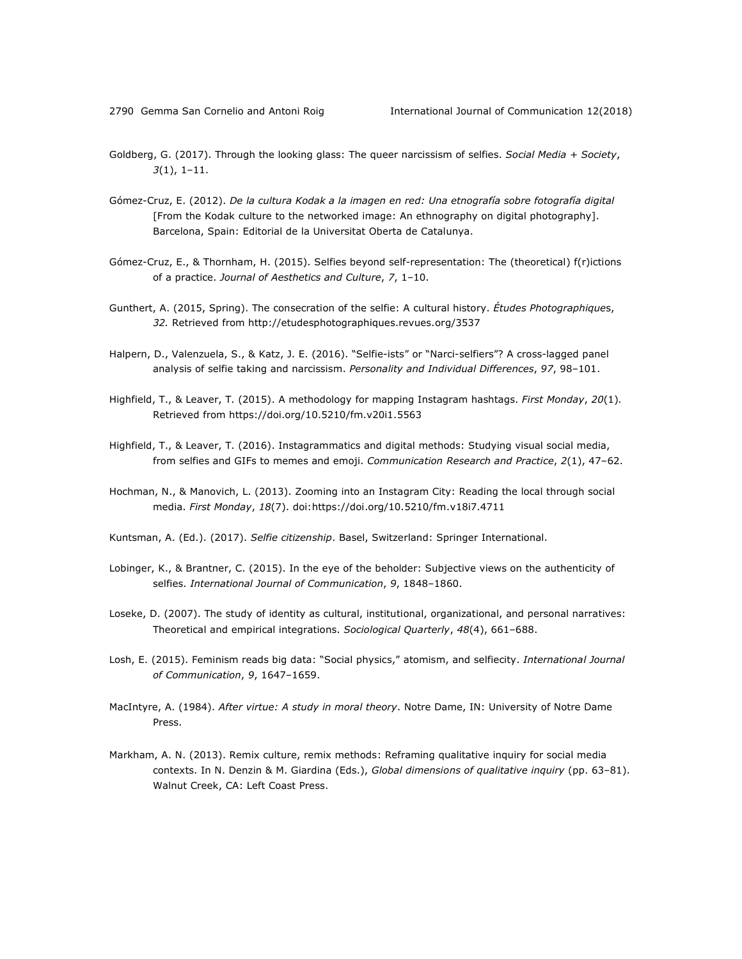- Goldberg, G. (2017). Through the looking glass: The queer narcissism of selfies. *Social Media + Society*, *3*(1), 1–11.
- Gómez-Cruz, E. (2012). *De la cultura Kodak a la imagen en red: Una etnografía sobre fotografía digital* [From the Kodak culture to the networked image: An ethnography on digital photography]. Barcelona, Spain: Editorial de la Universitat Oberta de Catalunya.
- Gómez-Cruz, E., & Thornham, H. (2015). Selfies beyond self-representation: The (theoretical) f(r)ictions of a practice. *Journal of Aesthetics and Culture*, *7*, 1–10.
- Gunthert, A. (2015, Spring). The consecration of the selfie: A cultural history. *Études Photographique*s, *32.* Retrieved from http://etudesphotographiques.revues.org/3537
- Halpern, D., Valenzuela, S., & Katz, J. E. (2016). "Selfie-ists" or "Narci-selfiers"? A cross-lagged panel analysis of selfie taking and narcissism. *Personality and Individual Differences*, *97*, 98–101.
- Highfield, T., & Leaver, T. (2015). A methodology for mapping Instagram hashtags. *First Monday*, *20*(1)*.* Retrieved from https://doi.org/10.5210/fm.v20i1.5563
- Highfield, T., & Leaver, T. (2016). Instagrammatics and digital methods: Studying visual social media, from selfies and GIFs to memes and emoji. *Communication Research and Practice*, *2*(1), 47–62.
- Hochman, N., & Manovich, L. (2013). Zooming into an Instagram City: Reading the local through social media. *First Monday*, *18*(7). doi:https://doi.org/10.5210/fm.v18i7.4711
- Kuntsman, A. (Ed.). (2017). *Selfie citizenship*. Basel, Switzerland: Springer International.
- Lobinger, K., & Brantner, C. (2015). In the eye of the beholder: Subjective views on the authenticity of selfies. *International Journal of Communication*, *9*, 1848–1860.
- Loseke, D. (2007). The study of identity as cultural, institutional, organizational, and personal narratives: Theoretical and empirical integrations. *Sociological Quarterly*, *48*(4), 661–688.
- Losh, E. (2015). Feminism reads big data: "Social physics," atomism, and selfiecity. *International Journal of Communication*, *9*, 1647–1659.
- MacIntyre, A. (1984). *After virtue: A study in moral theory*. Notre Dame, IN: University of Notre Dame Press.
- Markham, A. N. (2013). Remix culture, remix methods: Reframing qualitative inquiry for social media contexts. In N. Denzin & M. Giardina (Eds.), *Global dimensions of qualitative inquiry* (pp. 63–81). Walnut Creek, CA: Left Coast Press.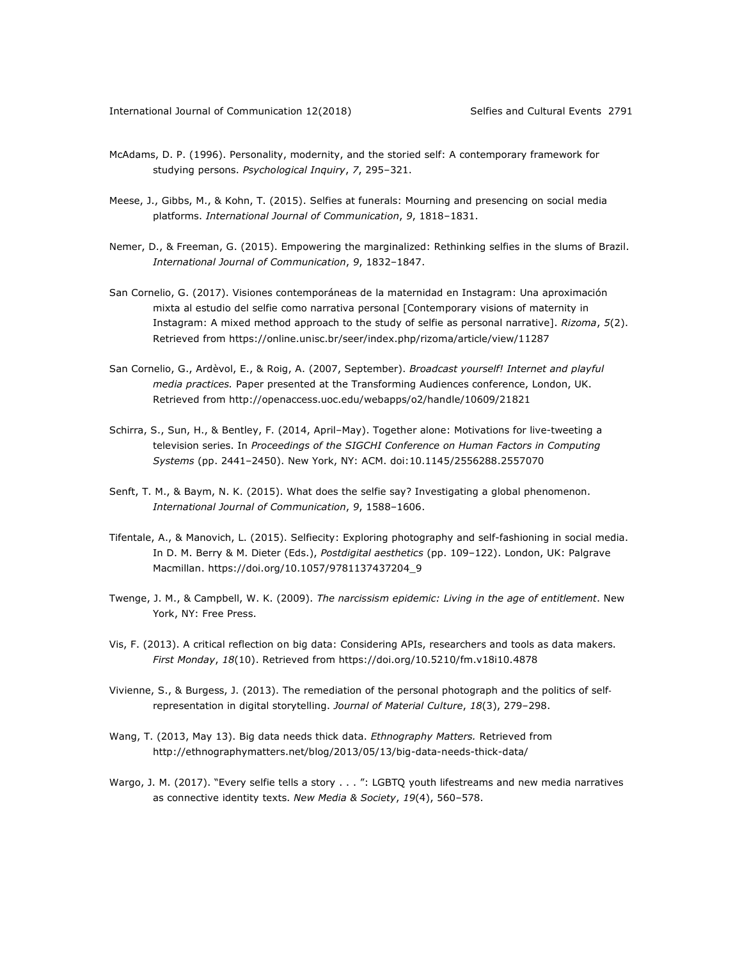- McAdams, D. P. (1996). Personality, modernity, and the storied self: A contemporary framework for studying persons. *Psychological Inquiry*, *7*, 295–321.
- Meese, J., Gibbs, M., & Kohn, T. (2015). Selfies at funerals: Mourning and presencing on social media platforms. *International Journal of Communication*, *9*, 1818–1831.
- Nemer, D., & Freeman, G. (2015). Empowering the marginalized: Rethinking selfies in the slums of Brazil. *International Journal of Communication*, *9*, 1832–1847.
- San Cornelio, G. (2017). Visiones contemporáneas de la maternidad en Instagram: Una aproximación mixta al estudio del selfie como narrativa personal [Contemporary visions of maternity in Instagram: A mixed method approach to the study of selfie as personal narrative]. *Rizoma*, *5*(2). Retrieved from https://online.unisc.br/seer/index.php/rizoma/article/view/11287
- San Cornelio, G., Ardèvol, E., & Roig, A. (2007, September). *Broadcast yourself! Internet and playful media practices.* Paper presented at the Transforming Audiences conference, London, UK. Retrieved from http://openaccess.uoc.edu/webapps/o2/handle/10609/21821
- Schirra, S., Sun, H., & Bentley, F. (2014, April–May). Together alone: Motivations for live-tweeting a television series. In *Proceedings of the SIGCHI Conference on Human Factors in Computing Systems* (pp. 2441–2450). New York, NY: ACM. doi:10.1145/2556288.2557070
- Senft, T. M., & Baym, N. K. (2015). What does the selfie say? Investigating a global phenomenon. *International Journal of Communication*, *9*, 1588–1606.
- Tifentale, A., & Manovich, L. (2015). Selfiecity: Exploring photography and self-fashioning in social media. In D. M. Berry & M. Dieter (Eds.), *Postdigital aesthetics* (pp. 109–122). London, UK: Palgrave Macmillan. https://doi.org/10.1057/9781137437204\_9
- Twenge, J. M., & Campbell, W. K. (2009). *The narcissism epidemic: Living in the age of entitlement*. New York, NY: Free Press.
- Vis, F. (2013). A critical reflection on big data: Considering APIs, researchers and tools as data makers. *First Monday*, *18*(10). Retrieved from https://doi.org/10.5210/fm.v18i10.4878
- Vivienne, S., & Burgess, J. (2013). The remediation of the personal photograph and the politics of selfrepresentation in digital storytelling. *Journal of Material Culture*, *18*(3), 279–298.
- Wang, T. (2013, May 13). Big data needs thick data. *Ethnography Matters.* Retrieved from http://ethnographymatters.net/blog/2013/05/13/big-data-needs-thick-data/
- Wargo, J. M. (2017). "Every selfie tells a story . . . ": LGBTQ youth lifestreams and new media narratives as connective identity texts. *New Media & Society*, *19*(4), 560–578.